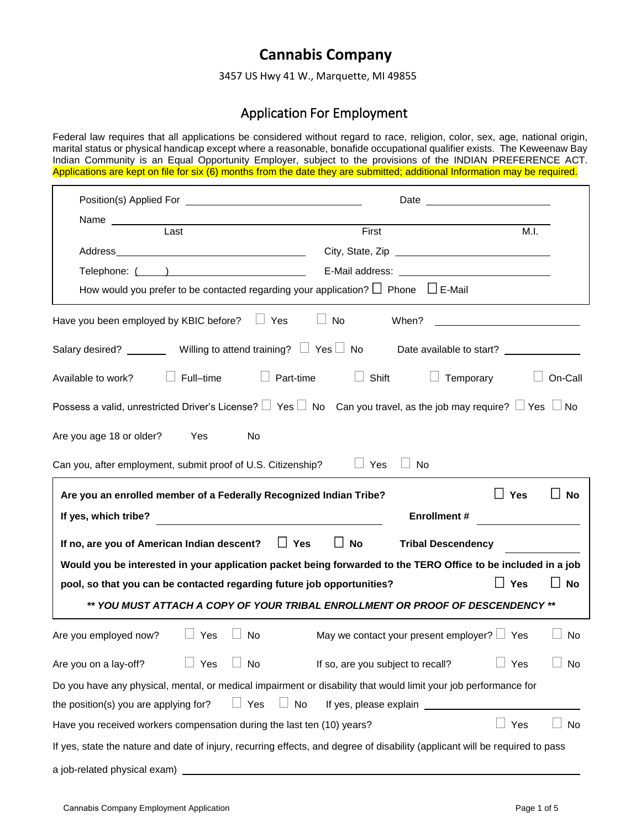## **Cannabis Company**

3457 US Hwy 41 W., Marquette, MI 49855

## Application For Employment

Federal law requires that all applications be considered without regard to race, religion, color, sex, age, national origin, marital status or physical handicap except where a reasonable, bonafide occupational qualifier exists. The Keweenaw Bay Indian Community is an Equal Opportunity Employer, subject to the provisions of the INDIAN PREFERENCE ACT. Applications are kept on file for six (6) months from the date they are submitted; additional Information may be required.

| Name<br><u></u>                                                                                                                   |                                                  |                           |
|-----------------------------------------------------------------------------------------------------------------------------------|--------------------------------------------------|---------------------------|
| Last                                                                                                                              | First                                            | M.I.                      |
|                                                                                                                                   |                                                  |                           |
|                                                                                                                                   |                                                  |                           |
| How would you prefer to be contacted regarding your application? $\Box$ Phone $\Box$ E-Mail                                       |                                                  |                           |
| Have you been employed by KBIC before?<br>$\Box$ Yes                                                                              | No<br>When?                                      |                           |
|                                                                                                                                   |                                                  |                           |
| Full-time<br>Available to work?                                                                                                   | Part-time<br>Shift<br>$\Box$                     | Temporary<br>On-Call      |
| Possess a valid, unrestricted Driver's License? $\Box$ Yes $\Box$ No Can you travel, as the job may require? $\Box$ Yes $\Box$ No |                                                  |                           |
| Are you age 18 or older?<br>Yes<br>No                                                                                             |                                                  |                           |
| Can you, after employment, submit proof of U.S. Citizenship?                                                                      | $\Box$ Yes<br><b>No</b>                          |                           |
| Are you an enrolled member of a Federally Recognized Indian Tribe?                                                                |                                                  | $\Box$ Yes<br><b>No</b>   |
| If yes, which tribe?                                                                                                              | <b>Enrollment #</b>                              |                           |
| If no, are you of American Indian descent?                                                                                        | $\Box$ Yes<br>$\Box$ No                          | <b>Tribal Descendency</b> |
| Would you be interested in your application packet being forwarded to the TERO Office to be included in a job                     |                                                  |                           |
| pool, so that you can be contacted regarding future job opportunities?                                                            |                                                  | $\Box$ Yes<br><b>No</b>   |
| ** YOU MUST ATTACH A COPY OF YOUR TRIBAL ENROLLMENT OR PROOF OF DESCENDENCY **                                                    |                                                  |                           |
| Are you employed now?<br>$\Box$ Yes<br>No                                                                                         | May we contact your present employer? $\Box$ Yes | No                        |
| $\Box$<br>the contract of the contract of<br>Are you on a lay-off?<br>Yes<br>No                                                   | If so, are you subject to recall?                | $\Box$<br>No<br>Yes       |
| Do you have any physical, mental, or medical impairment or disability that would limit your job performance for                   |                                                  |                           |
| Yes<br>the position(s) you are applying for?                                                                                      | No<br>If yes, please explain ____                |                           |
| Have you received workers compensation during the last ten (10) years?                                                            |                                                  | Yes<br>No                 |
| If yes, state the nature and date of injury, recurring effects, and degree of disability (applicant will be required to pass      |                                                  |                           |
| a job-related physical exam)                                                                                                      |                                                  |                           |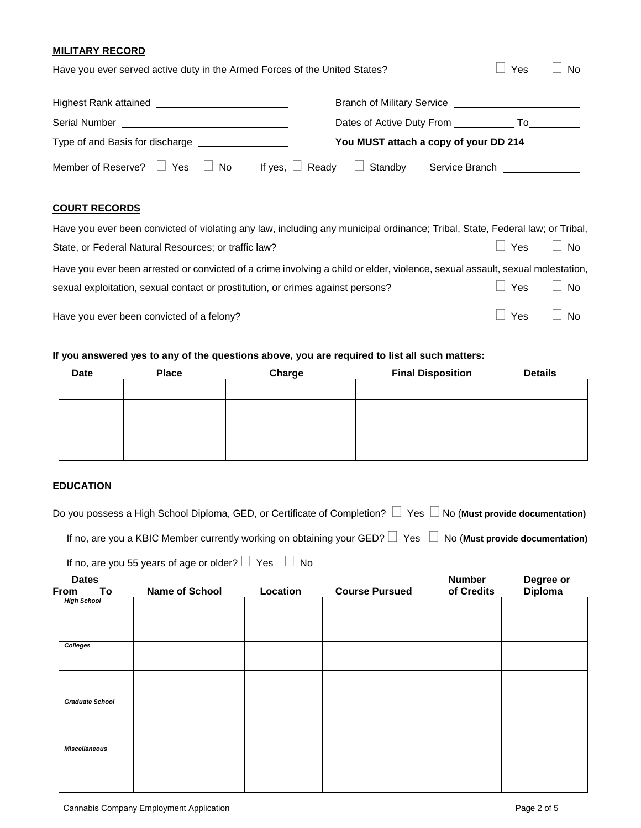### **MILITARY RECORD**

| Have you ever served active duty in the Armed Forces of the United States? | Yes                                                  | No. |
|----------------------------------------------------------------------------|------------------------------------------------------|-----|
|                                                                            | Branch of Military Service <b>Latings Example 20</b> |     |
| Serial Number                                                              | Dates of Active Duty From<br>To                      |     |
| Type of and Basis for discharge                                            | You MUST attach a copy of your DD 214                |     |
| Member of Reserve?<br>Yes<br><b>No</b><br>If yes,                          | Ready<br>Standby<br>Service Branch                   |     |

## **COURT RECORDS**

| Have you ever been convicted of violating any law, including any municipal ordinance; Tribal, State, Federal law; or Tribal,  |                      |  |
|-------------------------------------------------------------------------------------------------------------------------------|----------------------|--|
| State, or Federal Natural Resources; or traffic law?                                                                          | Yes No               |  |
| Have you ever been arrested or convicted of a crime involving a child or elder, violence, sexual assault, sexual molestation, |                      |  |
| sexual exploitation, sexual contact or prostitution, or crimes against persons?                                               | $\Box$ Yes $\Box$ No |  |
| Have you ever been convicted of a felony?                                                                                     | $\Box$ Yes $\Box$ No |  |

## **If you answered yes to any of the questions above, you are required to list all such matters:**

| <b>Date</b> | <b>Place</b> | Charge | <b>Final Disposition</b> | <b>Details</b> |
|-------------|--------------|--------|--------------------------|----------------|
|             |              |        |                          |                |
|             |              |        |                          |                |
|             |              |        |                          |                |
|             |              |        |                          |                |
|             |              |        |                          |                |

## **EDUCATION**

| Do you possess a High School Diploma, GED, or Certificate of Completion? $\Box$ Yes $\Box$ No (Must provide documentation) |  |  |
|----------------------------------------------------------------------------------------------------------------------------|--|--|

|  |  |  | If no, are you a KBIC Member currently working on obtaining your GED? $\Box$ Yes $\Box$ No (Must provide documentation) |
|--|--|--|-------------------------------------------------------------------------------------------------------------------------|
|  |  |  |                                                                                                                         |

| If no, are you 55 years of age or older? $\Box$ Yes $\Box$ No |  |  |
|---------------------------------------------------------------|--|--|

| <b>Dates</b>         |                        |                |          |                       | <b>Number</b> | Degree or |
|----------------------|------------------------|----------------|----------|-----------------------|---------------|-----------|
| From                 | To                     | Name of School | Location | <b>Course Pursued</b> | of Credits    | Diploma   |
| <b>High School</b>   |                        |                |          |                       |               |           |
|                      |                        |                |          |                       |               |           |
|                      |                        |                |          |                       |               |           |
|                      |                        |                |          |                       |               |           |
| Colleges             |                        |                |          |                       |               |           |
|                      |                        |                |          |                       |               |           |
|                      |                        |                |          |                       |               |           |
|                      |                        |                |          |                       |               |           |
|                      |                        |                |          |                       |               |           |
|                      | <b>Graduate School</b> |                |          |                       |               |           |
|                      |                        |                |          |                       |               |           |
|                      |                        |                |          |                       |               |           |
|                      |                        |                |          |                       |               |           |
|                      |                        |                |          |                       |               |           |
| <b>Miscellaneous</b> |                        |                |          |                       |               |           |
|                      |                        |                |          |                       |               |           |
|                      |                        |                |          |                       |               |           |
|                      |                        |                |          |                       |               |           |
|                      |                        |                |          |                       |               |           |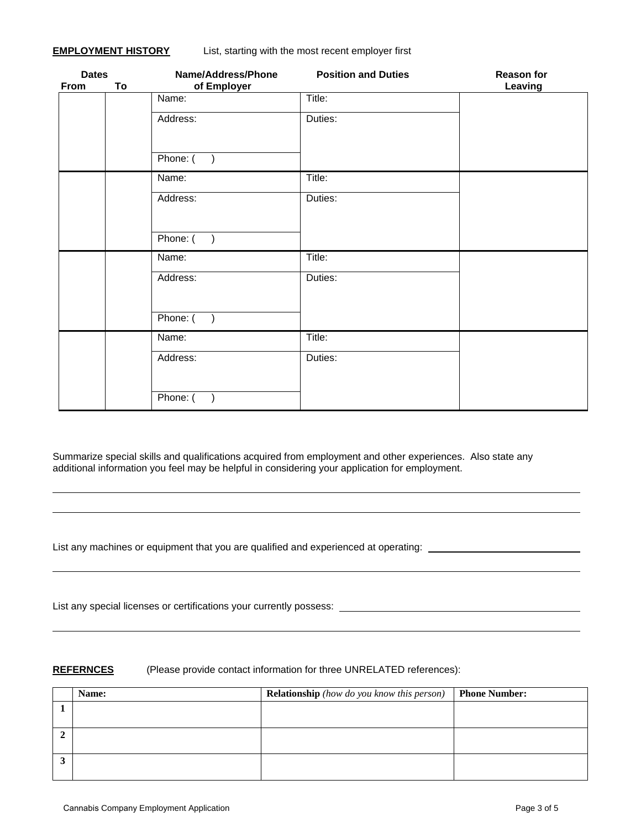| <b>Dates</b><br>From | To | Name/Address/Phone<br>of Employer | <b>Position and Duties</b> | <b>Reason for</b><br>Leaving |
|----------------------|----|-----------------------------------|----------------------------|------------------------------|
|                      |    | Name:                             | Title:                     |                              |
|                      |    | Address:                          | Duties:                    |                              |
|                      |    | Phone: (<br>$\rightarrow$         |                            |                              |
|                      |    | Name:                             | Title:                     |                              |
|                      |    | Address:                          | Duties:                    |                              |
|                      |    | Phone: (                          |                            |                              |
|                      |    | Name:                             | Title:                     |                              |
|                      |    | Address:                          | Duties:                    |                              |
|                      |    | Phone: (<br>$\rightarrow$         |                            |                              |
|                      |    | Name:                             | Title:                     |                              |
|                      |    | Address:                          | Duties:                    |                              |
|                      |    | Phone: (                          |                            |                              |

Summarize special skills and qualifications acquired from employment and other experiences. Also state any additional information you feel may be helpful in considering your application for employment.

List any machines or equipment that you are qualified and experienced at operating: \_\_\_\_\_\_\_\_\_\_\_\_\_\_\_\_\_\_\_\_\_\_\_\_\_\_

List any special licenses or certifications your currently possess:

### **REFERNCES** (Please provide contact information for three UNRELATED references):

|            | Name: | <b>Relationship</b> (how do you know this person) | <b>Phone Number:</b> |
|------------|-------|---------------------------------------------------|----------------------|
|            |       |                                                   |                      |
|            |       |                                                   |                      |
|            |       |                                                   |                      |
|            |       |                                                   |                      |
| <b>. .</b> |       |                                                   |                      |
|            |       |                                                   |                      |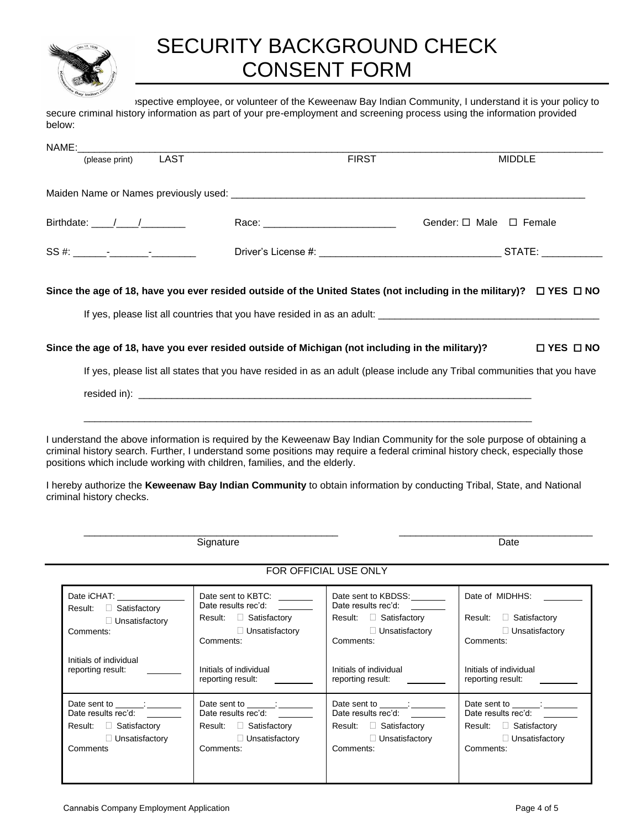

# SECURITY BACKGROUND CHECK CONSENT FORM

ispective employee, or volunteer of the Keweenaw Bay Indian Community, I understand it is your policy to secure criminal history information as part of your pre-employment and screening process using the information provided below:

| NAME:                                                                                                                                            |                                                                                                                                                                                                                                                                                                                                                                                                                                                              |                                                                                                                                                                            |                                                                                                                                   |  |
|--------------------------------------------------------------------------------------------------------------------------------------------------|--------------------------------------------------------------------------------------------------------------------------------------------------------------------------------------------------------------------------------------------------------------------------------------------------------------------------------------------------------------------------------------------------------------------------------------------------------------|----------------------------------------------------------------------------------------------------------------------------------------------------------------------------|-----------------------------------------------------------------------------------------------------------------------------------|--|
| (please print)                                                                                                                                   | <b>LAST</b>                                                                                                                                                                                                                                                                                                                                                                                                                                                  | <b>FIRST</b>                                                                                                                                                               | <b>MIDDLE</b>                                                                                                                     |  |
|                                                                                                                                                  |                                                                                                                                                                                                                                                                                                                                                                                                                                                              |                                                                                                                                                                            |                                                                                                                                   |  |
| Birthdate: ____/____/_________                                                                                                                   |                                                                                                                                                                                                                                                                                                                                                                                                                                                              |                                                                                                                                                                            | Gender: □ Male □ Female                                                                                                           |  |
|                                                                                                                                                  |                                                                                                                                                                                                                                                                                                                                                                                                                                                              |                                                                                                                                                                            |                                                                                                                                   |  |
|                                                                                                                                                  | Since the age of 18, have you ever resided outside of the United States (not including in the military)? □ YES □ NO                                                                                                                                                                                                                                                                                                                                          |                                                                                                                                                                            |                                                                                                                                   |  |
|                                                                                                                                                  |                                                                                                                                                                                                                                                                                                                                                                                                                                                              |                                                                                                                                                                            |                                                                                                                                   |  |
|                                                                                                                                                  | Since the age of 18, have you ever resided outside of Michigan (not including in the military)?                                                                                                                                                                                                                                                                                                                                                              |                                                                                                                                                                            | $\Box$ YES $\Box$ NO                                                                                                              |  |
|                                                                                                                                                  | If yes, please list all states that you have resided in as an adult (please include any Tribal communities that you have                                                                                                                                                                                                                                                                                                                                     |                                                                                                                                                                            |                                                                                                                                   |  |
|                                                                                                                                                  |                                                                                                                                                                                                                                                                                                                                                                                                                                                              |                                                                                                                                                                            |                                                                                                                                   |  |
| criminal history checks.                                                                                                                         | I understand the above information is required by the Keweenaw Bay Indian Community for the sole purpose of obtaining a<br>criminal history search. Further, I understand some positions may require a federal criminal history check, especially those<br>positions which include working with children, families, and the elderly.<br>I hereby authorize the Keweenaw Bay Indian Community to obtain information by conducting Tribal, State, and National |                                                                                                                                                                            |                                                                                                                                   |  |
|                                                                                                                                                  | Signature                                                                                                                                                                                                                                                                                                                                                                                                                                                    |                                                                                                                                                                            | Date                                                                                                                              |  |
|                                                                                                                                                  |                                                                                                                                                                                                                                                                                                                                                                                                                                                              | FOR OFFICIAL USE ONLY                                                                                                                                                      |                                                                                                                                   |  |
| Date iCHAT: <u>______________</u><br>Result: □ Satisfactory<br>$\Box$ Unsatisfactory<br>Comments:<br>Initials of individual<br>reporting result: | Date sent to KBTC: _______<br>Date results rec'd:<br>Result: □ Satisfactory<br>$\Box$ Unsatisfactory<br>Comments:<br>Initials of individual<br>reporting result:                                                                                                                                                                                                                                                                                             | Date sent to KBDSS: ________<br>Date results rec'd:<br>Result:<br>$\Box$ Satisfactory<br>$\Box$ Unsatisfactory<br>Comments:<br>Initials of individual<br>reporting result: | Date of MIDHHS:<br>□ Satisfactory<br>Result:<br>$\Box$ Unsatisfactory<br>Comments:<br>Initials of individual<br>reporting result: |  |
| Date results rec'd:<br>Result: <b>D</b> Satisfactory<br>$\Box$ Unsatisfactory<br>Comments                                                        | Date sent to ______; ______<br>Date results rec'd:<br>Result: Satisfactory<br>$\Box$ Unsatisfactory<br>Comments:                                                                                                                                                                                                                                                                                                                                             | Date sent to _______: ______<br>Date results rec'd:<br>Result: <b>D</b> Satisfactory<br>$\Box$ Unsatisfactory<br>Comments:                                                 | Date sent to ______; _______<br>Date results rec'd:<br>Result: <b>Example</b> Satisfactory<br>$\Box$ Unsatisfactory<br>Comments:  |  |